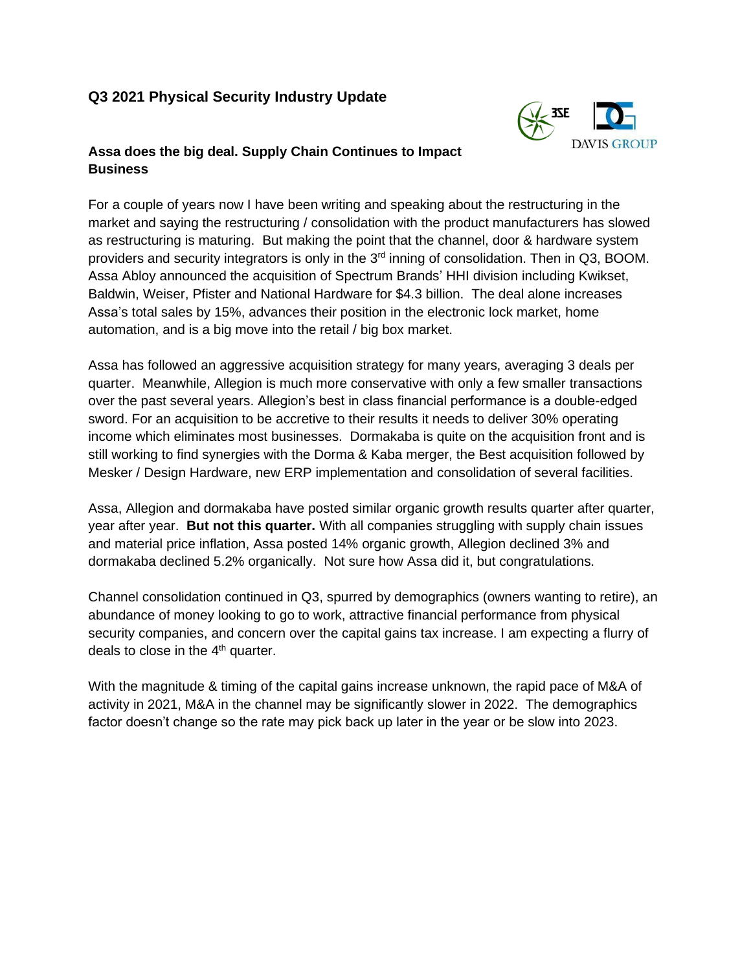# **Q3 2021 Physical Security Industry Update**



## **Assa does the big deal. Supply Chain Continues to Impact Business**

For a couple of years now I have been writing and speaking about the restructuring in the market and saying the restructuring / consolidation with the product manufacturers has slowed as restructuring is maturing. But making the point that the channel, door & hardware system providers and security integrators is only in the 3<sup>rd</sup> inning of consolidation. Then in Q3, BOOM. Assa Abloy announced the acquisition of Spectrum Brands' HHI division including Kwikset, Baldwin, Weiser, Pfister and National Hardware for \$4.3 billion. The deal alone increases Assa's total sales by 15%, advances their position in the electronic lock market, home automation, and is a big move into the retail / big box market.

Assa has followed an aggressive acquisition strategy for many years, averaging 3 deals per quarter. Meanwhile, Allegion is much more conservative with only a few smaller transactions over the past several years. Allegion's best in class financial performance is a double-edged sword. For an acquisition to be accretive to their results it needs to deliver 30% operating income which eliminates most businesses. Dormakaba is quite on the acquisition front and is still working to find synergies with the Dorma & Kaba merger, the Best acquisition followed by Mesker / Design Hardware, new ERP implementation and consolidation of several facilities.

Assa, Allegion and dormakaba have posted similar organic growth results quarter after quarter, year after year. **But not this quarter.** With all companies struggling with supply chain issues and material price inflation, Assa posted 14% organic growth, Allegion declined 3% and dormakaba declined 5.2% organically. Not sure how Assa did it, but congratulations.

Channel consolidation continued in Q3, spurred by demographics (owners wanting to retire), an abundance of money looking to go to work, attractive financial performance from physical security companies, and concern over the capital gains tax increase. I am expecting a flurry of deals to close in the  $4<sup>th</sup>$  quarter.

With the magnitude & timing of the capital gains increase unknown, the rapid pace of M&A of activity in 2021, M&A in the channel may be significantly slower in 2022. The demographics factor doesn't change so the rate may pick back up later in the year or be slow into 2023.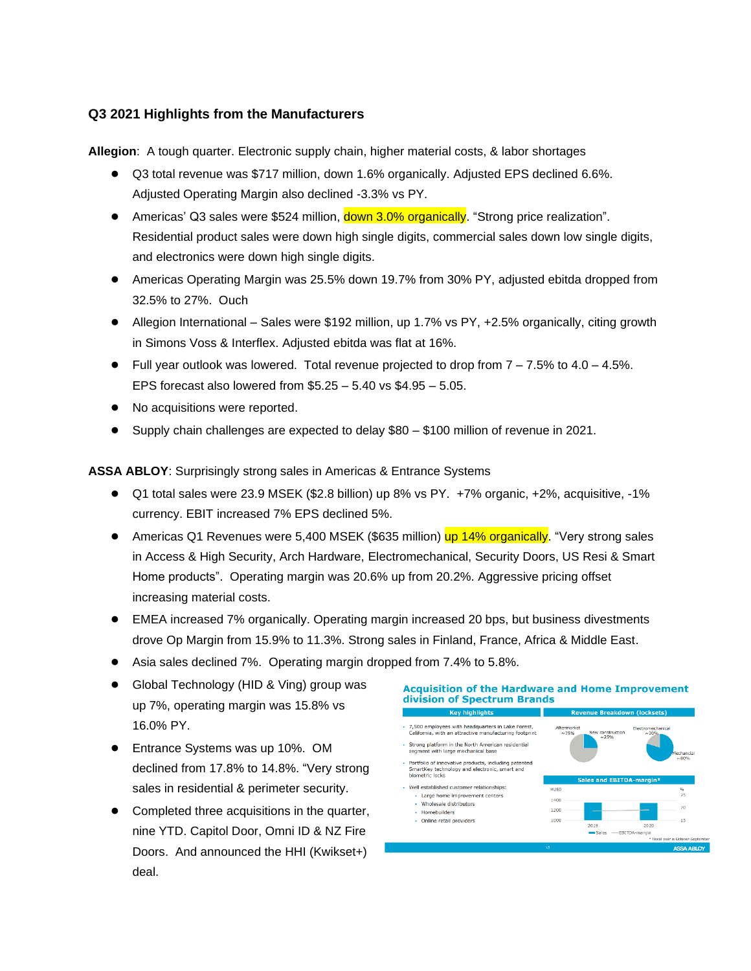## **Q3 2021 Highlights from the Manufacturers**

**Allegion**: A tough quarter. Electronic supply chain, higher material costs, & labor shortages

- Q3 total revenue was \$717 million, down 1.6% organically. Adjusted EPS declined 6.6%. Adjusted Operating Margin also declined -3.3% vs PY.
- Americas' Q3 sales were \$524 million, down 3.0% organically. "Strong price realization". Residential product sales were down high single digits, commercial sales down low single digits, and electronics were down high single digits.
- Americas Operating Margin was 25.5% down 19.7% from 30% PY, adjusted ebitda dropped from 32.5% to 27%. Ouch
- Allegion International Sales were \$192 million, up 1.7% vs PY, +2.5% organically, citing growth in Simons Voss & Interflex. Adjusted ebitda was flat at 16%.
- $\bullet$  Full year outlook was lowered. Total revenue projected to drop from  $7 7.5\%$  to  $4.0 4.5\%$ . EPS forecast also lowered from \$5.25 – 5.40 vs \$4.95 – 5.05.
- No acquisitions were reported.
- Supply chain challenges are expected to delay  $$80 $100$  million of revenue in 2021.

**ASSA ABLOY**: Surprisingly strong sales in Americas & Entrance Systems

- Q1 total sales were 23.9 MSEK (\$2.8 billion) up 8% vs PY. +7% organic, +2%, acquisitive, -1% currency. EBIT increased 7% EPS declined 5%.
- Americas Q1 Revenues were 5,400 MSEK (\$635 million) up 14% organically. "Very strong sales in Access & High Security, Arch Hardware, Electromechanical, Security Doors, US Resi & Smart Home products". Operating margin was 20.6% up from 20.2%. Aggressive pricing offset increasing material costs.
- EMEA increased 7% organically. Operating margin increased 20 bps, but business divestments drove Op Margin from 15.9% to 11.3%. Strong sales in Finland, France, Africa & Middle East.
- Asia sales declined 7%. Operating margin dropped from 7.4% to 5.8%.
- Global Technology (HID & Ving) group was up 7%, operating margin was 15.8% vs 16.0% PY.
- Entrance Systems was up 10%. OM declined from 17.8% to 14.8%. "Very strong sales in residential & perimeter security.
- Completed three acquisitions in the quarter, nine YTD. Capitol Door, Omni ID & NZ Fire Doors. And announced the HHI (Kwikset+) deal.

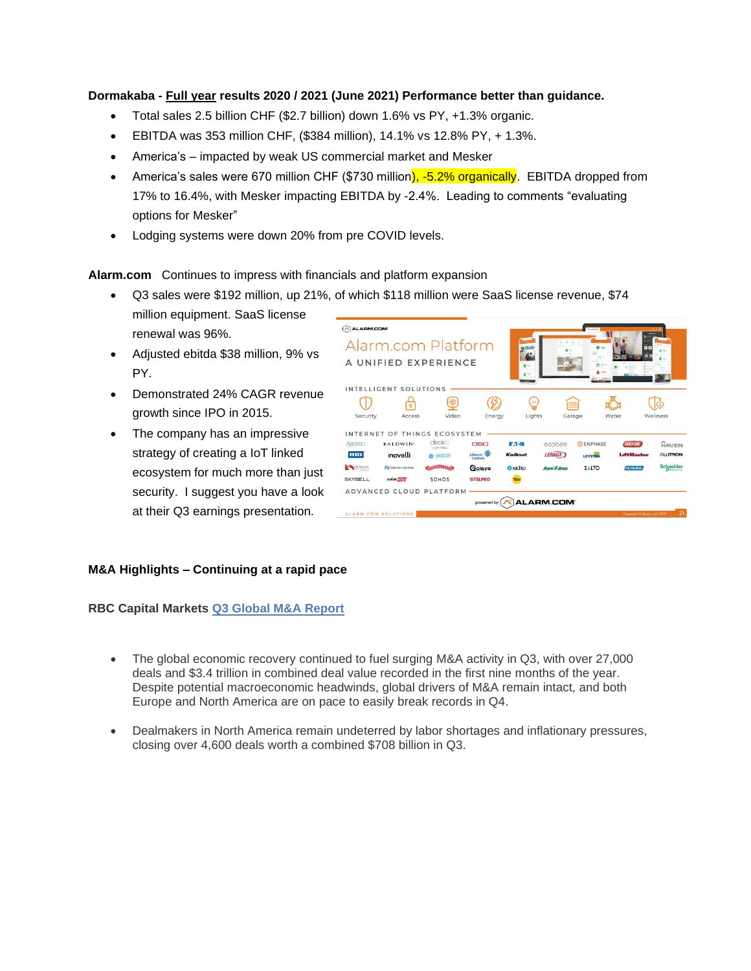### **Dormakaba - Full year results 2020 / 2021 (June 2021) Performance better than guidance.**

- Total sales 2.5 billion CHF (\$2.7 billion) down 1.6% vs PY, +1.3% organic.
- EBITDA was 353 million CHF, (\$384 million), 14.1% vs 12.8% PY, + 1.3%.
- America's impacted by weak US commercial market and Mesker
- America's sales were 670 million CHF (\$730 million), -5.2% organically. EBITDA dropped from 17% to 16.4%, with Mesker impacting EBITDA by -2.4%. Leading to comments "evaluating options for Mesker"
- Lodging systems were down 20% from pre COVID levels.

**Alarm.com** Continues to impress with financials and platform expansion

- Q3 sales were \$192 million, up 21%, of which \$118 million were SaaS license revenue, \$74 million equipment. SaaS license renewal was 96%.
- Adjusted ebitda \$38 million, 9% vs PY.
- Demonstrated 24% CAGR revenue growth since IPO in 2015.
- The company has an impressive strategy of creating a IoT linked ecosystem for much more than just security. I suggest you have a look at their Q3 earnings presentation.

| <b>ALARM.COM</b>     | Alarm.com Platform           |                   |                 |                 |                        | <b>CALMARK</b><br>$\bullet =$ |                            |                          |
|----------------------|------------------------------|-------------------|-----------------|-----------------|------------------------|-------------------------------|----------------------------|--------------------------|
|                      | A UNIFIED EXPERIENCE         |                   |                 | $\bullet$ :-    |                        | 72"                           |                            | 国际<br>$\bullet -$<br>721 |
|                      | INTELLIGENT SOLUTIONS        |                   |                 | $6 =$           |                        |                               |                            |                          |
|                      |                              | $\circledcirc$    |                 |                 |                        |                               |                            |                          |
| Security             | Access                       | Video             | Energy          | Lights          |                        | Garage                        | Water                      | Wellness                 |
|                      | INTERNET OF THINGS ECOSYSTEM |                   |                 |                 |                        |                               |                            |                          |
| Aeorec               | <b>BALDWIN</b> *             | deako<br>LIGHTING | <b>DSC</b>      | <b>E-T-N</b>    | ecobee                 | <b>O</b> ENPHASE              | <b>GENIE</b>               | <b>HAVEN</b>             |
| HID                  | inovelli                     | <b>O</b> JASCO'   | Johnson 27      | Kwikset         | <b>LENNOX</b>          | LEVITON                       | <b>LiftMaster</b>          | <b>OLUTRON</b>           |
| <b>NAME OF OWNER</b> | <b>IN NORTEK CONTROL</b>     | <b>WAREHOUSE</b>  | Colsys          | <b>O</b> rachio | <b>RAIN &amp; BIRD</b> | <b>SALTO</b>                  | <b>SCHLAGE</b>             | Schneider                |
| <b>SKYBELL:</b>      | solar adee                   | SONOS             | <b>'STELPRO</b> |                 |                        |                               |                            |                          |
|                      | ADVANCED CLOUD PLATFORM      |                   |                 |                 |                        |                               |                            |                          |
|                      |                              |                   | powered by      |                 | ALARM.COM <sup>®</sup> |                               |                            |                          |
|                      | ALARM.COM SOLUTIONS          |                   |                 |                 |                        |                               | Capyright & Alarm.com 2021 | 21                       |

#### **M&A Highlights – Continuing at a rapid pace**

**RBC Capital Markets [Q3 Global M&A Report](https://url.emailprotection.link/?b39PZW-SYIu807eEmgIcii7zjzepjFuuYPoSDmKK6wjg-p4-sttfCeHIVRLTfZ2bn6qZ1qnf1TUcPUhv8kF80md37IHCUbOVSRq98iIg6ksLThI4aBfTlB6K8w2hz8AaP)**

- The global economic recovery continued to fuel surging M&A activity in Q3, with over 27,000 deals and \$3.4 trillion in combined deal value recorded in the first nine months of the year. Despite potential macroeconomic headwinds, global drivers of M&A remain intact, and both Europe and North America are on pace to easily break records in Q4.
- Dealmakers in North America remain undeterred by labor shortages and inflationary pressures, closing over 4,600 deals worth a combined \$708 billion in Q3.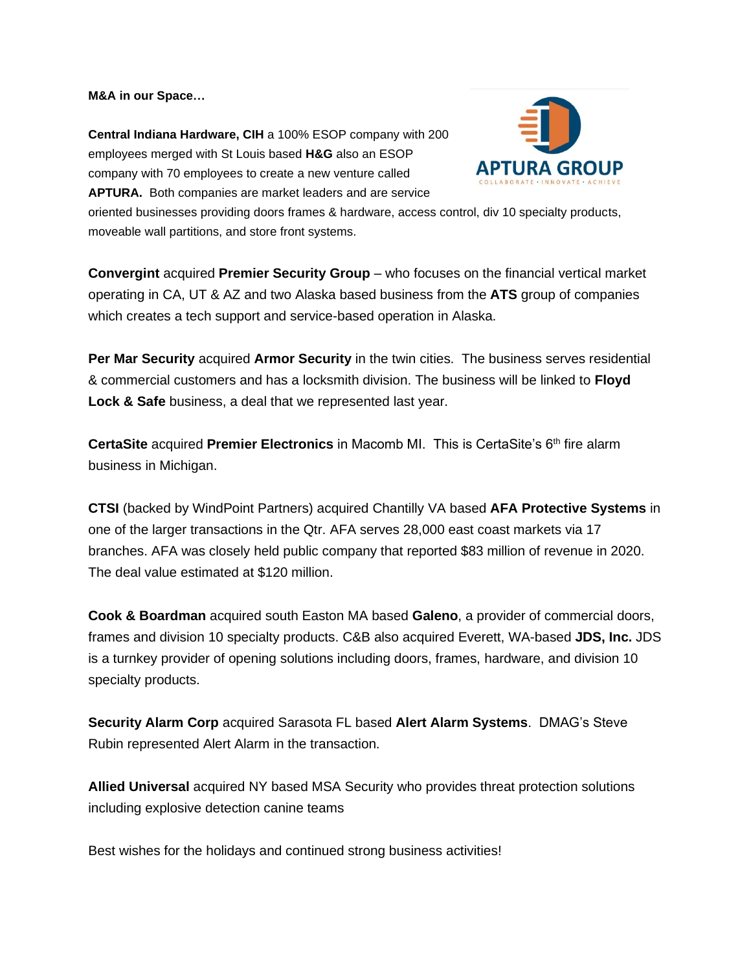**M&A in our Space…**

**Central Indiana Hardware, CIH** a 100% ESOP company with 200 employees merged with St Louis based **H&G** also an ESOP company with 70 employees to create a new venture called **APTURA.** Both companies are market leaders and are service



oriented businesses providing doors frames & hardware, access control, div 10 specialty products, moveable wall partitions, and store front systems.

**Convergint** acquired **Premier Security Group** – who focuses on the financial vertical market operating in CA, UT & AZ and two Alaska based business from the **ATS** group of companies which creates a tech support and service-based operation in Alaska.

**Per Mar Security** acquired **Armor Security** in the twin cities. The business serves residential & commercial customers and has a locksmith division. The business will be linked to **Floyd Lock & Safe** business, a deal that we represented last year.

**CertaSite** acquired **Premier Electronics** in Macomb MI. This is CertaSite's 6<sup>th</sup> fire alarm business in Michigan.

**CTSI** (backed by WindPoint Partners) acquired Chantilly VA based **AFA Protective Systems** in one of the larger transactions in the Qtr. AFA serves 28,000 east coast markets via 17 branches. AFA was closely held public company that reported \$83 million of revenue in 2020. The deal value estimated at \$120 million.

**Cook & Boardman** acquired south Easton MA based **Galeno**, a provider of commercial doors, frames and division 10 specialty products. C&B also acquired Everett, WA-based **JDS, Inc.** JDS is a turnkey provider of opening solutions including doors, frames, hardware, and division 10 specialty products.

**Security Alarm Corp** acquired Sarasota FL based **Alert Alarm Systems**. DMAG's Steve Rubin represented Alert Alarm in the transaction.

**[Allied Universal](https://www.securitysales.com/company-tag/allied-universal/)** acquired NY based MSA Security who provides threat protection solutions including explosive detection canine teams

Best wishes for the holidays and continued strong business activities!